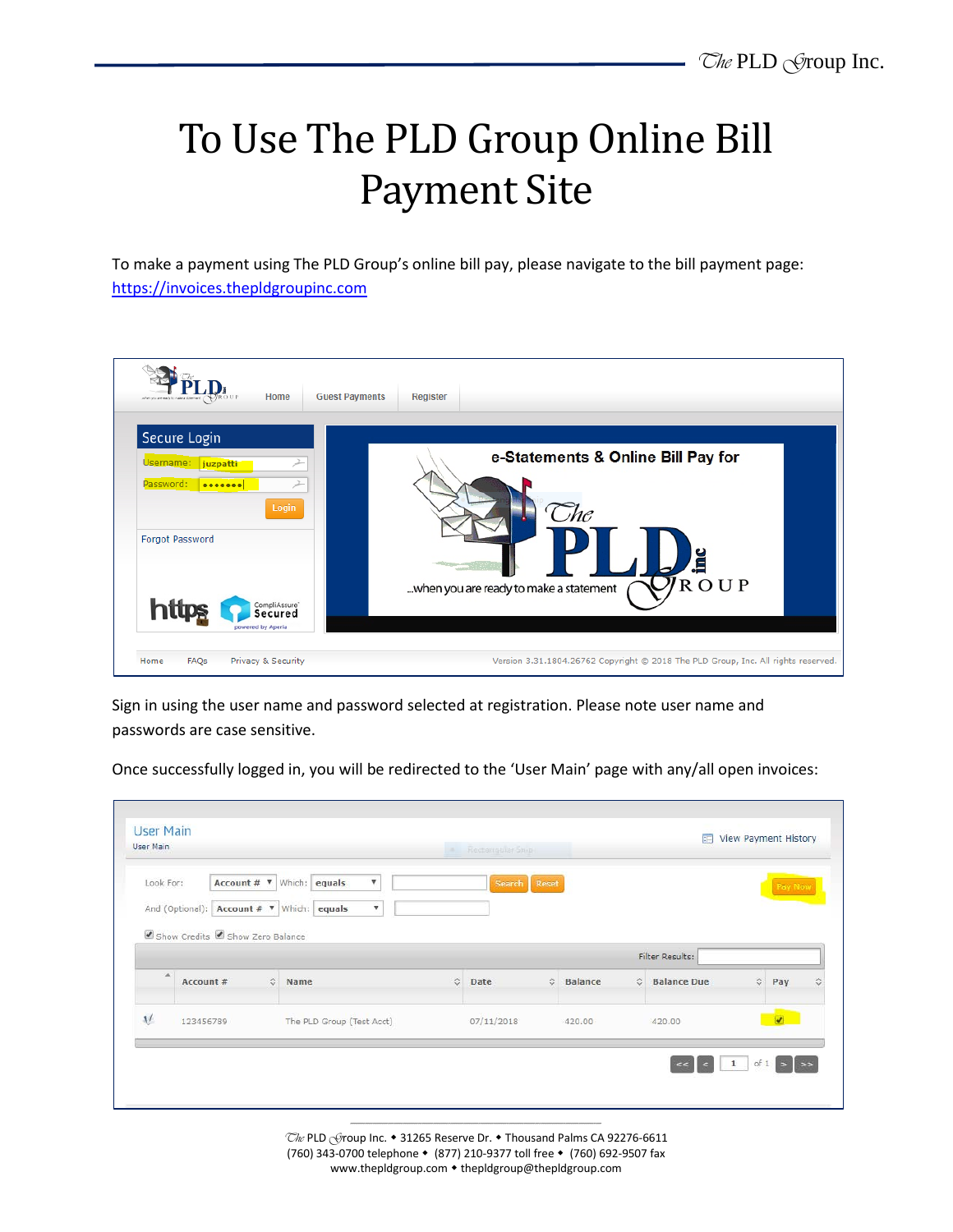## To Use The PLD Group Online Bill Payment Site

To make a payment using The PLD Group's online bill pay, please navigate to the bill payment page: [https://invoices.thepldgroupinc.com](https://invoices.thepldgroupinc.com/)



Sign in using the user name and password selected at registration. Please note user name and passwords are case sensitive.

Once successfully logged in, you will be redirected to the 'User Main' page with any/all open invoices:

| <b>User Main</b><br>User Main |                                                                                                                  |                                                                            | Rectargatian Smith |                  | View Payment History<br>四 |                      |  |  |
|-------------------------------|------------------------------------------------------------------------------------------------------------------|----------------------------------------------------------------------------|--------------------|------------------|---------------------------|----------------------|--|--|
| Look For:                     | Account # <b>v</b> Which:<br>And (Optional):   Account # $\sqrt{ }$   Which:  <br>Show Credits Show Zero Balance | $\boldsymbol{\mathrm{v}}$<br>equals<br>$\boldsymbol{\mathrm{v}}$<br>equals | Search Reset       |                  |                           | Pay Now              |  |  |
|                               |                                                                                                                  |                                                                            |                    |                  | Filter Results:           |                      |  |  |
| A                             | Account #                                                                                                        | $\mathcal{L}$<br>$\hat{v}$ Name                                            | Date               | <b>S</b> Balance | C Balance Due             | $\circ$<br>Pay       |  |  |
|                               |                                                                                                                  | The PLD Group (Test Acct)                                                  | 07/11/2018         | 420,00           | 420.00                    | $\overline{\bullet}$ |  |  |

------------------------------------------------------------------------------------------------------------------------------------- The PLD Group Inc. • 31265 Reserve Dr. • Thousand Palms CA 92276-6611 (760) 343-0700 telephone (877) 210-9377 toll free (760) 692-9507 fax www.thepldgroup.com • thepldgroup@thepldgroup.com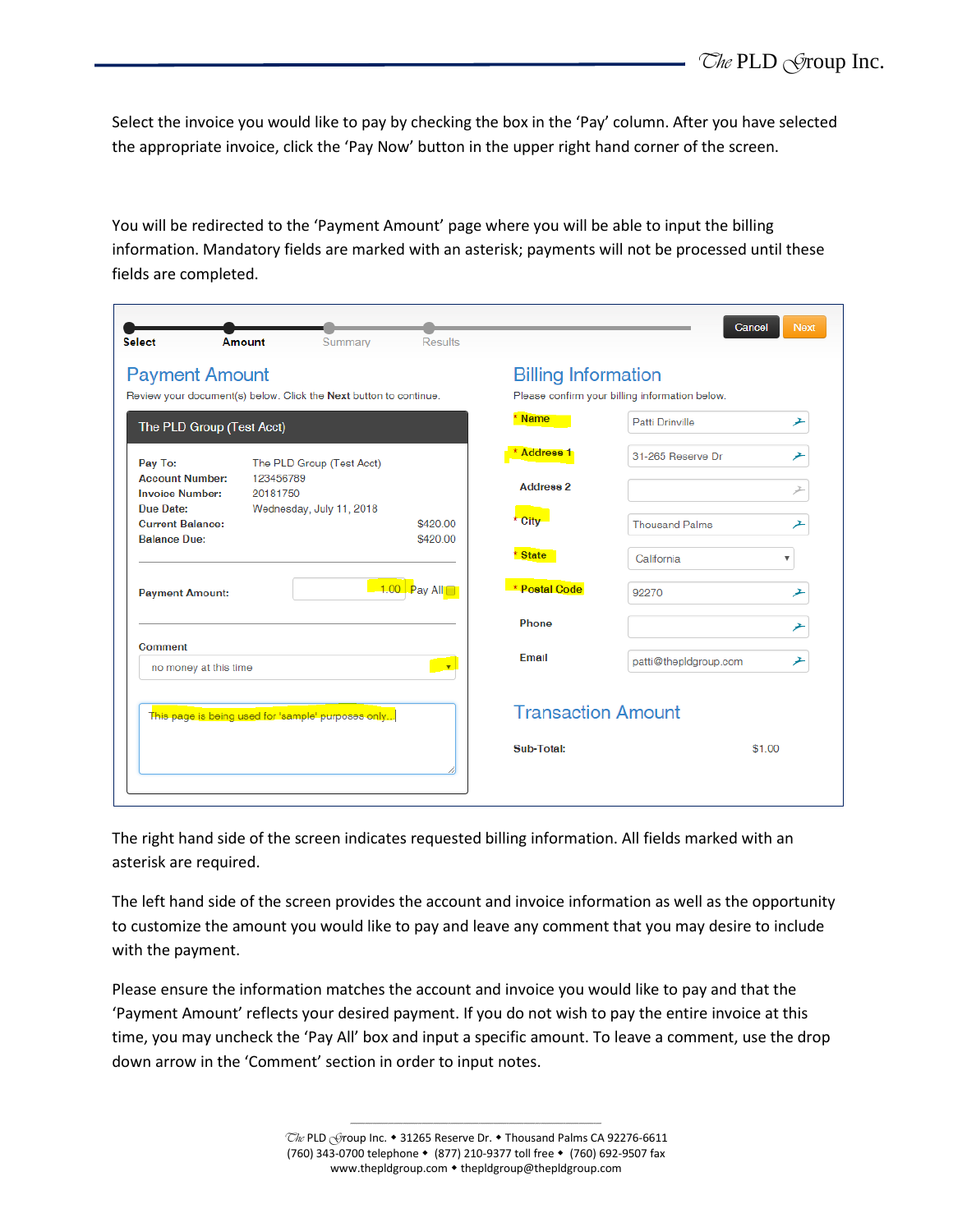Select the invoice you would like to pay by checking the box in the 'Pay' column. After you have selected the appropriate invoice, click the 'Pay Now' button in the upper right hand corner of the screen.

You will be redirected to the 'Payment Amount' page where you will be able to input the billing information. Mandatory fields are marked with an asterisk; payments will not be processed until these fields are completed.

| <b>Select</b>                                               | Summary<br>Amount                                                 | <b>Results</b>       |                            | Cancel                                         | <b>Next</b> |
|-------------------------------------------------------------|-------------------------------------------------------------------|----------------------|----------------------------|------------------------------------------------|-------------|
| <b>Payment Amount</b>                                       |                                                                   |                      | <b>Billing Information</b> |                                                |             |
|                                                             | Review your document(s) below. Click the Next button to continue. |                      |                            | Please confirm your billing information below. |             |
| The PLD Group (Test Acct)                                   |                                                                   |                      | * Name                     | Patti Drinville                                | ⊁           |
| Pay To:                                                     | The PLD Group (Test Acct)                                         |                      | Address <sub>1</sub>       | 31-265 Reserve Dr                              |             |
| <b>Account Number:</b><br><b>Invoice Number:</b>            | 123456789<br>20181750                                             |                      | <b>Address 2</b>           |                                                |             |
| Due Date:<br><b>Current Balance:</b><br><b>Balance Due:</b> | Wednesday, July 11, 2018                                          | \$420.00<br>\$420.00 | * City                     | <b>Thousand Palms</b>                          |             |
|                                                             |                                                                   |                      | * State                    | California<br>$\overline{\mathbf{v}}$          |             |
| <b>Payment Amount:</b>                                      |                                                                   | $1.00$ Pay All       | * Postal Code              | 92270                                          | ≁           |
|                                                             |                                                                   |                      | Phone                      |                                                |             |
| Comment<br>no money at this time                            |                                                                   | $\mathbf{v}$         | Email                      | patti@thepIdgroup.com                          | ┹           |
|                                                             | This page is being used for 'sample' purposes only                |                      | <b>Transaction Amount</b>  |                                                |             |
|                                                             |                                                                   |                      | Sub-Total:                 | \$1.00                                         |             |
|                                                             |                                                                   |                      |                            |                                                |             |

The right hand side of the screen indicates requested billing information. All fields marked with an asterisk are required.

The left hand side of the screen provides the account and invoice information as well as the opportunity to customize the amount you would like to pay and leave any comment that you may desire to include with the payment.

Please ensure the information matches the account and invoice you would like to pay and that the 'Payment Amount' reflects your desired payment. If you do not wish to pay the entire invoice at this time, you may uncheck the 'Pay All' box and input a specific amount. To leave a comment, use the drop down arrow in the 'Comment' section in order to input notes.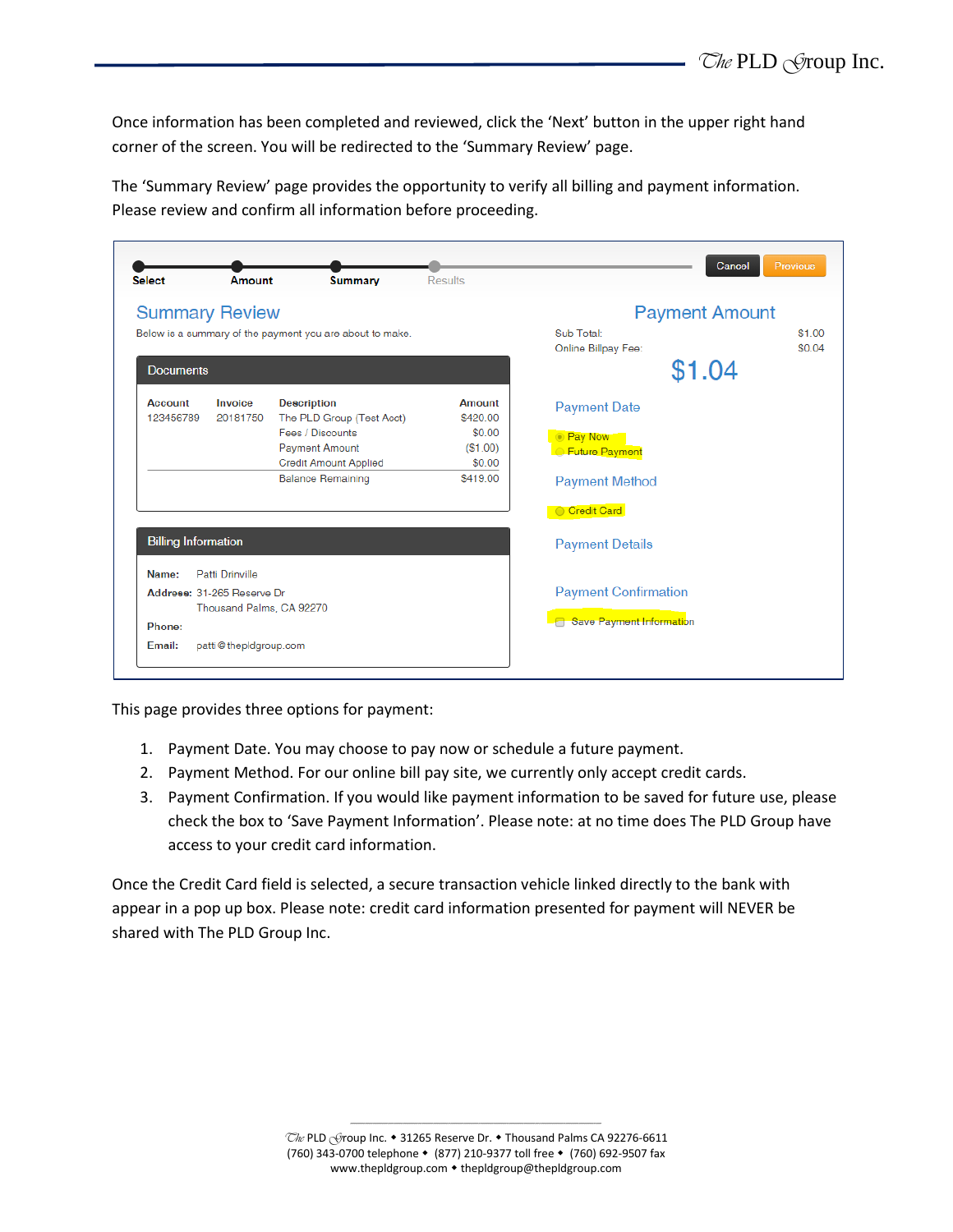Once information has been completed and reviewed, click the 'Next' button in the upper right hand corner of the screen. You will be redirected to the 'Summary Review' page.

The 'Summary Review' page provides the opportunity to verify all billing and payment information. Please review and confirm all information before proceeding.

| <b>Select</b>                                            | Amount                      | <b>Summary</b>                                  | <b>Results</b>     |                             | Previous<br>Cancel |
|----------------------------------------------------------|-----------------------------|-------------------------------------------------|--------------------|-----------------------------|--------------------|
| <b>Summary Review</b>                                    |                             |                                                 |                    | <b>Payment Amount</b>       |                    |
| Below is a summary of the payment you are about to make. |                             |                                                 | Sub Total:         | \$1.00                      |                    |
|                                                          |                             |                                                 |                    | Online Billpay Fee:         | \$0.04             |
| <b>Documents</b>                                         |                             |                                                 |                    | \$1.04                      |                    |
| Account<br>123456789                                     | Invoice<br>20181750         | <b>Description</b><br>The PLD Group (Test Acct) | Amount<br>\$420.00 | <b>Payment Date</b>         |                    |
|                                                          |                             | Fees / Discounts                                | \$0.00             | <b>Pay Now</b>              |                    |
|                                                          |                             | <b>Payment Amount</b>                           | (\$1.00)           | <b>Euture Payment</b>       |                    |
|                                                          |                             | <b>Credit Amount Applied</b>                    | \$0.00             |                             |                    |
|                                                          |                             | <b>Balance Remaining</b>                        | \$419.00           | <b>Payment Method</b>       |                    |
|                                                          |                             |                                                 |                    | Credit Card                 |                    |
| <b>Billing Information</b>                               |                             |                                                 |                    | <b>Payment Details</b>      |                    |
| Name:                                                    | Patti Drinville             |                                                 |                    |                             |                    |
|                                                          | Address: 31-265 Beserve Dr. |                                                 |                    | <b>Payment Confirmation</b> |                    |
|                                                          | Thousand Palms, CA 92270    |                                                 |                    |                             |                    |
| Phone:                                                   |                             |                                                 |                    | Save Payment Information    |                    |
| Email:                                                   | patti@thepIdgroup.com       |                                                 |                    |                             |                    |

This page provides three options for payment:

- 1. Payment Date. You may choose to pay now or schedule a future payment.
- 2. Payment Method. For our online bill pay site, we currently only accept credit cards.
- 3. Payment Confirmation. If you would like payment information to be saved for future use, please check the box to 'Save Payment Information'. Please note: at no time does The PLD Group have access to your credit card information.

Once the Credit Card field is selected, a secure transaction vehicle linked directly to the bank with appear in a pop up box. Please note: credit card information presented for payment will NEVER be shared with The PLD Group Inc.

> ------------------------------------------------------------------------------------------------------------------------------------- The PLD Group Inc. • 31265 Reserve Dr. • Thousand Palms CA 92276-6611 (760) 343-0700 telephone (877) 210-9377 toll free (760) 692-9507 fax www.thepldgroup.com • thepldgroup@thepldgroup.com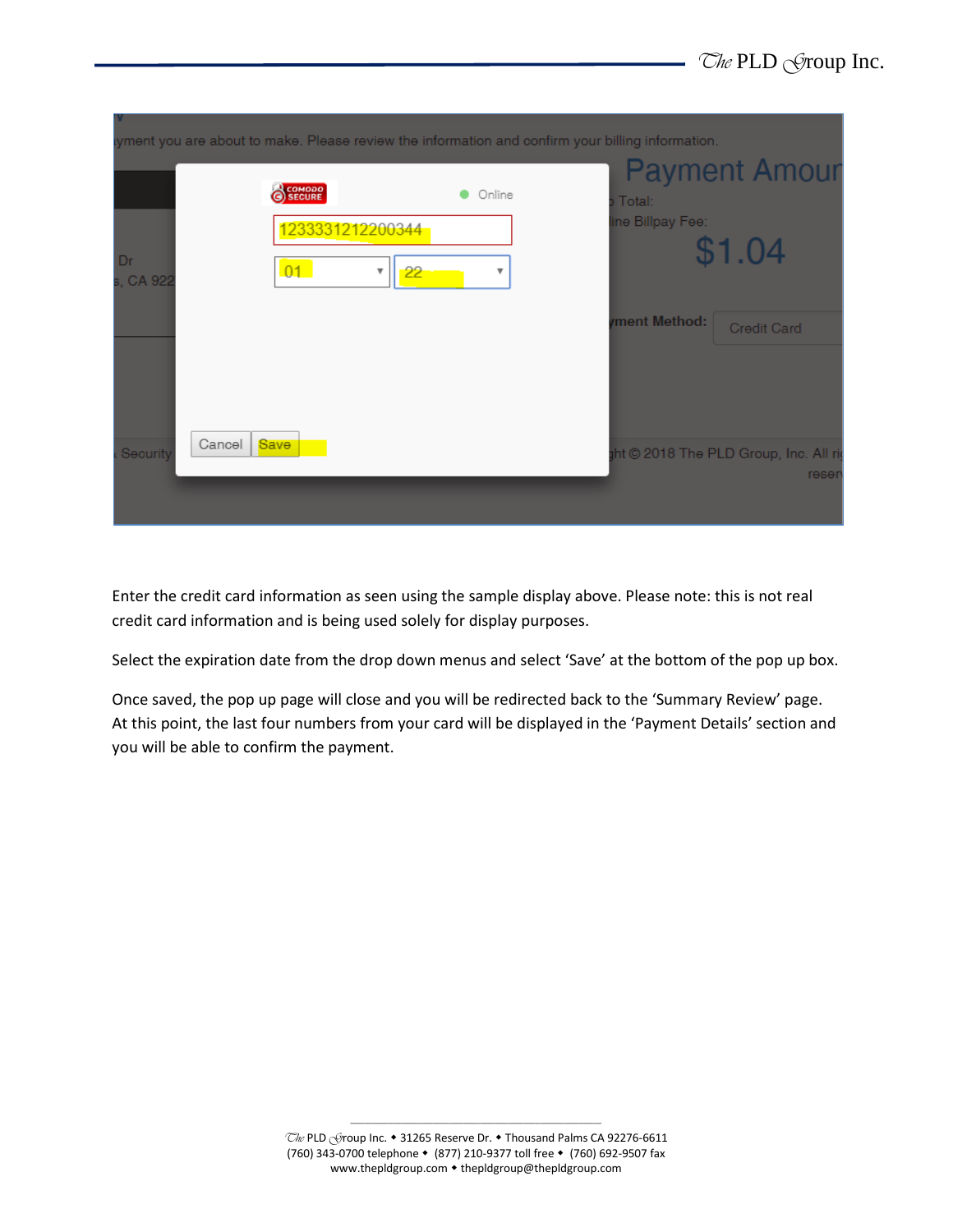|                 | yment you are about to make. Please review the information and confirm your billing information. |              |                            |                                               |
|-----------------|--------------------------------------------------------------------------------------------------|--------------|----------------------------|-----------------------------------------------|
| Dr<br>s, CA 922 | COMODO<br>1233331212200344<br>01<br>Ψ                                                            | Online<br>22 | Total:<br>ine Billpay Fee: | <b>Payment Amour</b><br>\$1.04                |
|                 |                                                                                                  |              | wment Method:              | <b>Credit Card</b>                            |
| Security        | Cancel<br>Save                                                                                   |              |                            | ht © 2018 The PLD Group, Inc. All ri<br>reser |

Enter the credit card information as seen using the sample display above. Please note: this is not real credit card information and is being used solely for display purposes.

Select the expiration date from the drop down menus and select 'Save' at the bottom of the pop up box.

Once saved, the pop up page will close and you will be redirected back to the 'Summary Review' page. At this point, the last four numbers from your card will be displayed in the 'Payment Details' section and you will be able to confirm the payment.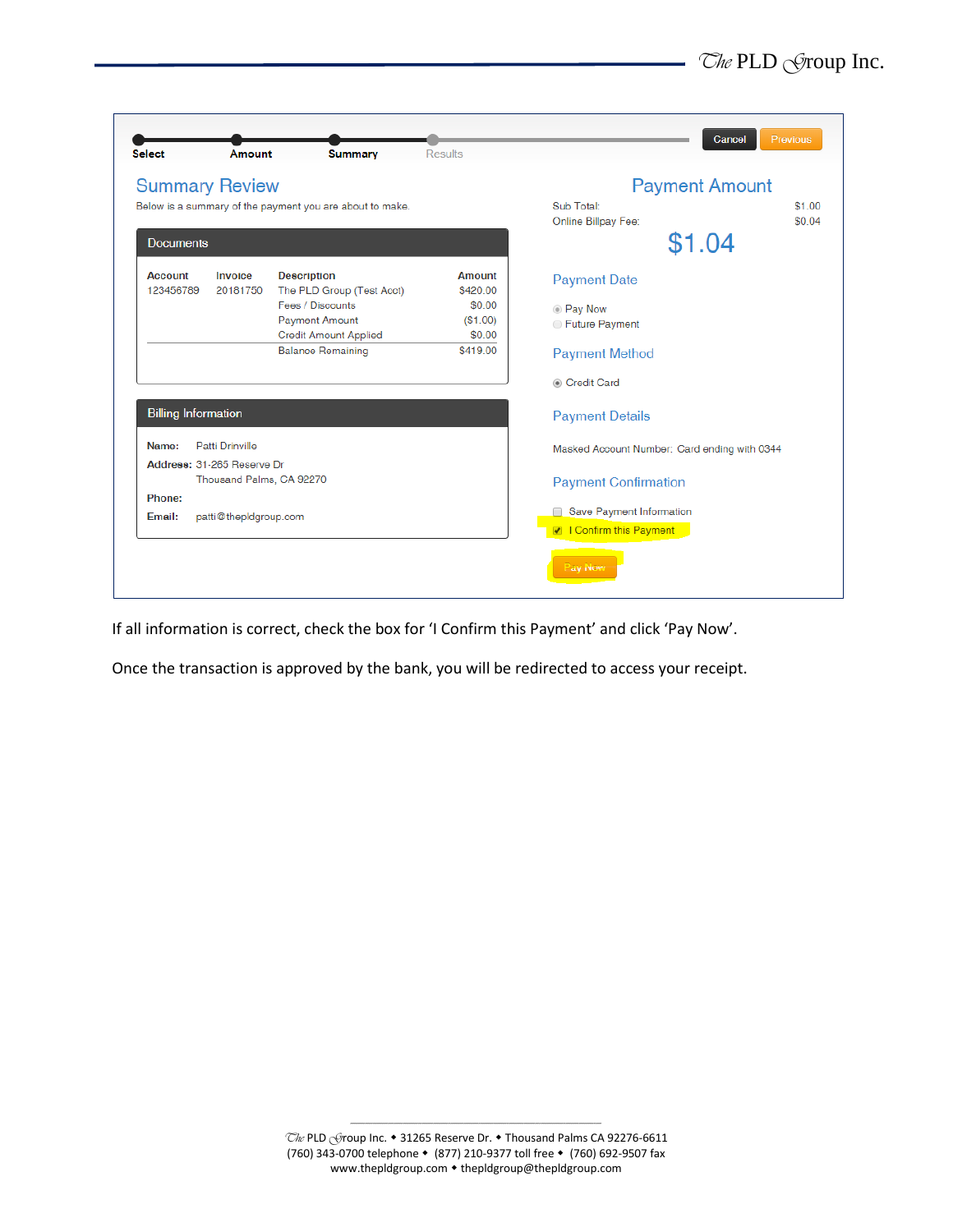| <b>Summary Review</b>       |                            |                                                          |                               | <b>Payment Amount</b>                        |                 |
|-----------------------------|----------------------------|----------------------------------------------------------|-------------------------------|----------------------------------------------|-----------------|
|                             |                            | Below is a summary of the payment you are about to make. |                               | Sub Total:                                   | \$100<br>\$0.04 |
| <b>Documents</b>            |                            |                                                          | Online Billpay Fee:<br>\$1.04 |                                              |                 |
|                             |                            |                                                          |                               |                                              |                 |
| <b>Account</b><br>123456789 | Invoice<br>20181750        | <b>Description</b><br>The PLD Group (Test Acct)          | <b>Amount</b><br>\$420.00     | <b>Payment Date</b>                          |                 |
|                             |                            | Fees / Discounts                                         | \$0.00                        | <b>Pay Now</b>                               |                 |
|                             |                            | <b>Payment Amount</b>                                    | (\$1.00)                      | ● Future Payment                             |                 |
|                             |                            | <b>Credit Amount Applied</b>                             | \$0.00                        |                                              |                 |
|                             |                            | <b>Balance Remaining</b>                                 | \$419.00                      | <b>Payment Method</b>                        |                 |
|                             |                            |                                                          |                               | Credit Card                                  |                 |
| <b>Billing Information</b>  |                            |                                                          |                               | <b>Payment Details</b>                       |                 |
| Name:                       | Patti Drinville            |                                                          |                               | Masked Account Number: Card ending with 0344 |                 |
|                             | Address: 31-265 Reserve Dr |                                                          |                               |                                              |                 |
|                             | Thousand Palms, CA 92270   |                                                          |                               | <b>Payment Confirmation</b>                  |                 |
| Phone:                      |                            |                                                          |                               |                                              |                 |
| Email:                      | patti@thepIdgroup.com      |                                                          |                               | Save Payment Information                     |                 |
|                             |                            |                                                          |                               | I Confirm this Payment                       |                 |

If all information is correct, check the box for 'I Confirm this Payment' and click 'Pay Now'.

Once the transaction is approved by the bank, you will be redirected to access your receipt.